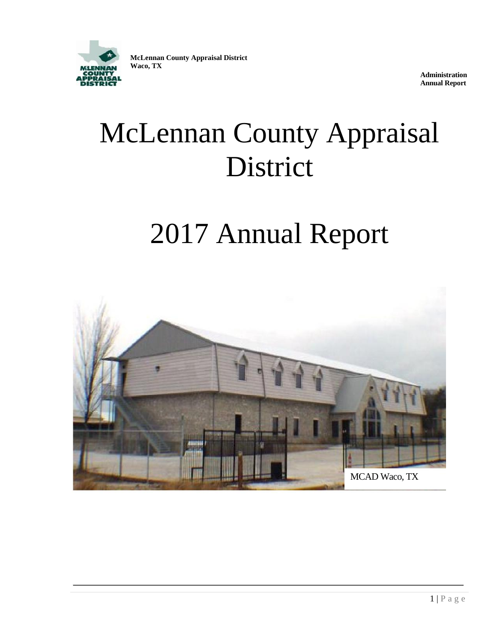

**McLennan County Appraisal District Waco, TX**

> **Administration Annual Report**

# McLennan County Appraisal District

# 2017 Annual Report

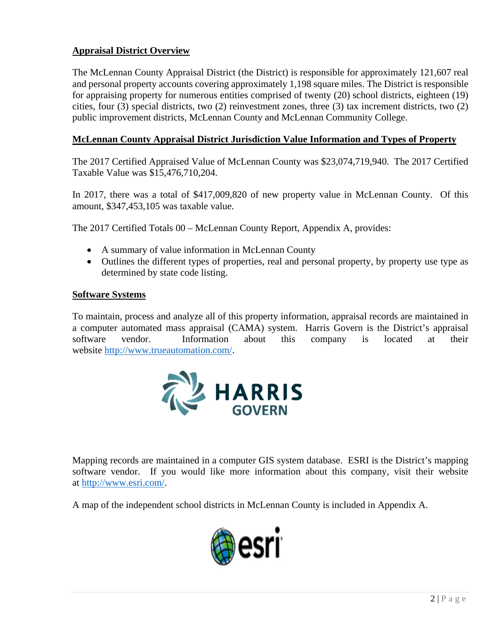### **Appraisal District Overview**

The McLennan County Appraisal District (the District) is responsible for approximately 121,607 real and personal property accounts covering approximately 1,198 square miles. The District is responsible for appraising property for numerous entities comprised of twenty (20) school districts, eighteen (19) cities, four (3) special districts, two (2) reinvestment zones, three (3) tax increment districts, two (2) public improvement districts, McLennan County and McLennan Community College.

#### **McLennan County Appraisal District Jurisdiction Value Information and Types of Property**

The 2017 Certified Appraised Value of McLennan County was \$23,074,719,940. The 2017 Certified Taxable Value was \$15,476,710,204.

In 2017, there was a total of \$417,009,820 of new property value in McLennan County. Of this amount, \$347,453,105 was taxable value.

The 2017 Certified Totals 00 – McLennan County Report, Appendix A, provides:

- A summary of value information in McLennan County
- Outlines the different types of properties, real and personal property, by property use type as determined by state code listing.

#### **Software Systems**

To maintain, process and analyze all of this property information, appraisal records are maintained in a computer automated mass appraisal (CAMA) system. Harris Govern is the District's appraisal software vendor. Information about this company is located at their website [http://www.trueautomation.com/.](http://www.trueautomation.com/)



Mapping records are maintained in a computer GIS system database. ESRI is the District's mapping software vendor. If you would like more information about this company, visit their website at [http://www.esri.com/.](http://www.esri.com/)

A map of the independent school districts in McLennan County is included in Appendix A.

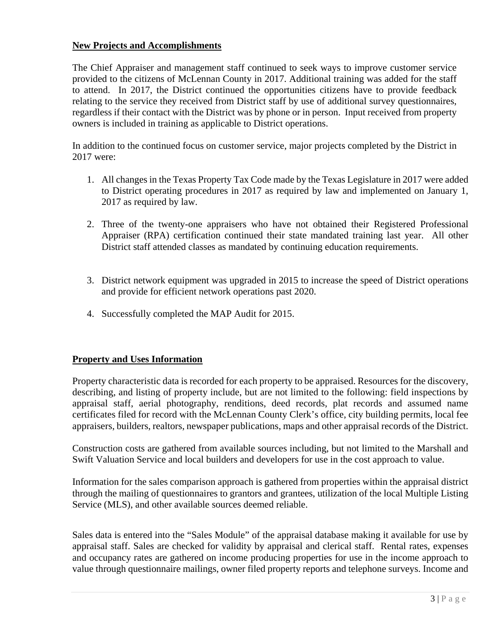#### **New Projects and Accomplishments**

The Chief Appraiser and management staff continued to seek ways to improve customer service provided to the citizens of McLennan County in 2017. Additional training was added for the staff to attend. In 2017, the District continued the opportunities citizens have to provide feedback relating to the service they received from District staff by use of additional survey questionnaires, regardless if their contact with the District was by phone or in person. Input received from property owners is included in training as applicable to District operations.

In addition to the continued focus on customer service, major projects completed by the District in 2017 were:

- 1. All changes in the Texas Property Tax Code made by the Texas Legislature in 2017 were added to District operating procedures in 2017 as required by law and implemented on January 1, 2017 as required by law.
- 2. Three of the twenty-one appraisers who have not obtained their Registered Professional Appraiser (RPA) certification continued their state mandated training last year. All other District staff attended classes as mandated by continuing education requirements.
- 3. District network equipment was upgraded in 2015 to increase the speed of District operations and provide for efficient network operations past 2020.
- 4. Successfully completed the MAP Audit for 2015.

#### **Property and Uses Information**

Property characteristic data is recorded for each property to be appraised. Resources for the discovery, describing, and listing of property include, but are not limited to the following: field inspections by appraisal staff, aerial photography, renditions, deed records, plat records and assumed name certificates filed for record with the McLennan County Clerk's office, city building permits, local fee appraisers, builders, realtors, newspaper publications, maps and other appraisal records of the District.

Construction costs are gathered from available sources including, but not limited to the Marshall and Swift Valuation Service and local builders and developers for use in the cost approach to value.

Information for the sales comparison approach is gathered from properties within the appraisal district through the mailing of questionnaires to grantors and grantees, utilization of the local Multiple Listing Service (MLS), and other available sources deemed reliable.

Sales data is entered into the "Sales Module" of the appraisal database making it available for use by appraisal staff. Sales are checked for validity by appraisal and clerical staff. Rental rates, expenses and occupancy rates are gathered on income producing properties for use in the income approach to value through questionnaire mailings, owner filed property reports and telephone surveys. Income and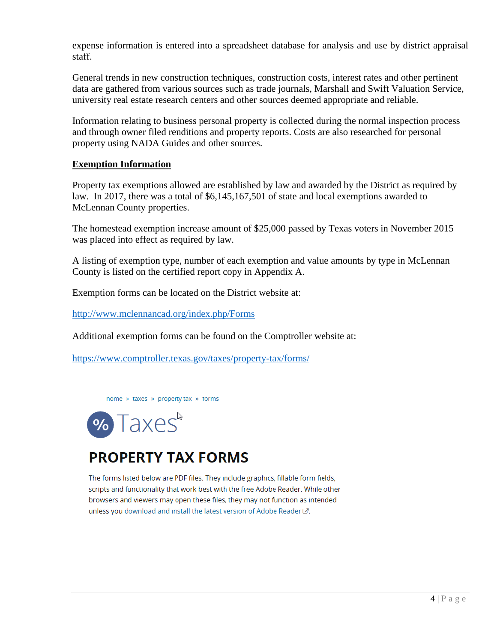expense information is entered into a spreadsheet database for analysis and use by district appraisal staff.

General trends in new construction techniques, construction costs, interest rates and other pertinent data are gathered from various sources such as trade journals, Marshall and Swift Valuation Service, university real estate research centers and other sources deemed appropriate and reliable.

Information relating to business personal property is collected during the normal inspection process and through owner filed renditions and property reports. Costs are also researched for personal property using NADA Guides and other sources.

#### **Exemption Information**

Property tax exemptions allowed are established by law and awarded by the District as required by law. In 2017, there was a total of \$6,145,167,501 of state and local exemptions awarded to McLennan County properties.

The homestead exemption increase amount of \$25,000 passed by Texas voters in November 2015 was placed into effect as required by law.

A listing of exemption type, number of each exemption and value amounts by type in McLennan County is listed on the certified report copy in Appendix A.

Exemption forms can be located on the District website at:

<http://www.mclennancad.org/index.php/Forms>

Additional exemption forms can be found on the Comptroller website at:

<https://www.comptroller.texas.gov/taxes/property-tax/forms/>





# **PROPERTY TAX FORMS**

The forms listed below are PDF files. They include graphics, fillable form fields, scripts and functionality that work best with the free Adobe Reader. While other browsers and viewers may open these files, they may not function as intended unless you download and install the latest version of Adobe Reader &.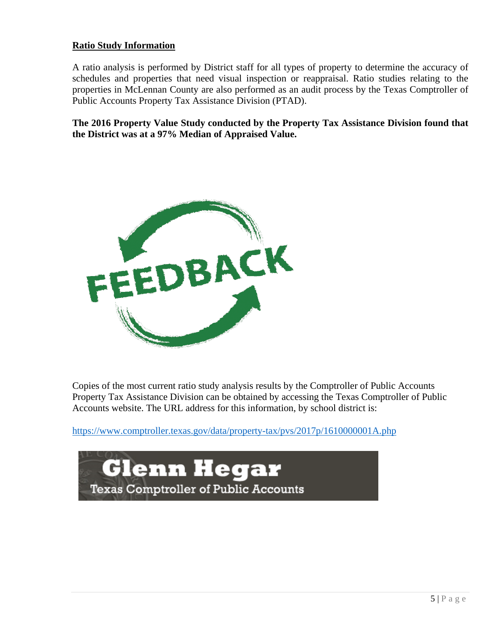#### **Ratio Study Information**

A ratio analysis is performed by District staff for all types of property to determine the accuracy of schedules and properties that need visual inspection or reappraisal. Ratio studies relating to the properties in McLennan County are also performed as an audit process by the Texas Comptroller of Public Accounts Property Tax Assistance Division (PTAD).

**The 2016 Property Value Study conducted by the Property Tax Assistance Division found that the District was at a 97% Median of Appraised Value.**



Copies of the most current ratio study analysis results by the Comptroller of Public Accounts Property Tax Assistance Division can be obtained by accessing the Texas Comptroller of Public Accounts website. The URL address for this information, by school district is:

[https://www.comptroller.texas.gov/data/property-tax/pvs/2017p/1610000001A.php](https://www.comptroller.texas.gov/data/property-tax/pvs/2016p/1610000001A.php)

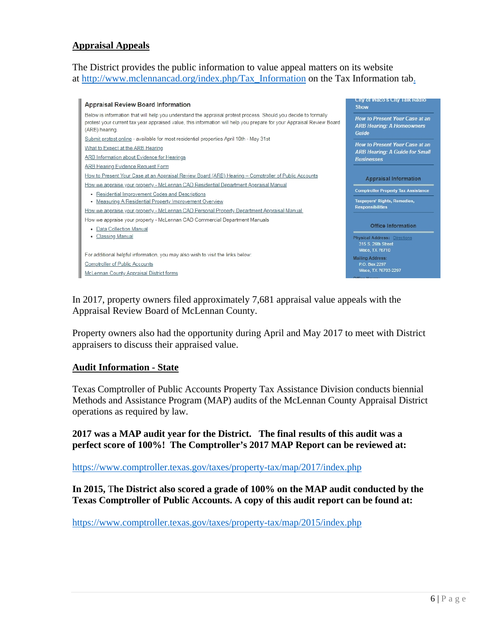#### **Appraisal Appeals**

The District provides the public information to value appeal matters on its website at [http://www.mclennancad.org/index.php/Tax\\_Information](http://www.mclennancad.org/index.php/Tax_Information) on the Tax Information tab.



In 2017, property owners filed approximately 7,681 appraisal value appeals with the Appraisal Review Board of McLennan County.

Property owners also had the opportunity during April and May 2017 to meet with District appraisers to discuss their appraised value.

#### **Audit Information - State**

Texas Comptroller of Public Accounts Property Tax Assistance Division conducts biennial Methods and Assistance Program (MAP) audits of the McLennan County Appraisal District operations as required by law.

**2017 was a MAP audit year for the District. The final results of this audit was a perfect score of 100%! The Comptroller's 2017 MAP Report can be reviewed at:**

<https://www.comptroller.texas.gov/taxes/property-tax/map/2017/index.php>

**In 2015,** T**he District also scored a grade of 100% on the MAP audit conducted by the Texas Comptroller of Public Accounts. A copy of this audit report can be found at:** 

<https://www.comptroller.texas.gov/taxes/property-tax/map/2015/index.php>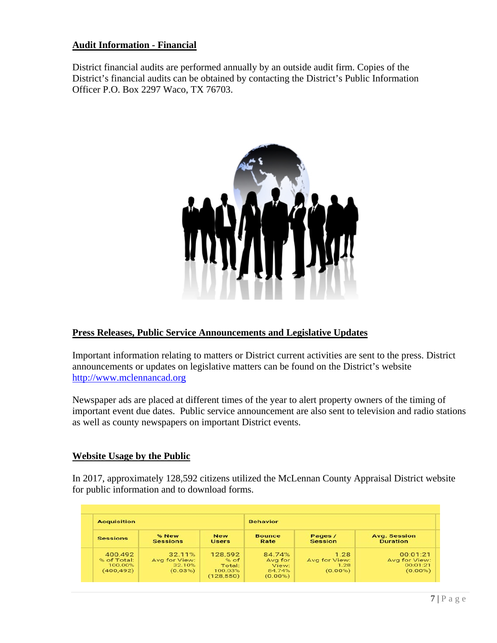#### **Audit Information - Financial**

District financial audits are performed annually by an outside audit firm. Copies of the District's financial audits can be obtained by contacting the District's Public Information Officer P.O. Box 2297 Waco, TX 76703.



#### **Press Releases, Public Service Announcements and Legislative Updates**

Important information relating to matters or District current activities are sent to the press. District announcements or updates on legislative matters can be found on the District's website [http://www.mclennancad.org](http://www.mclennancad.org/)

Newspaper ads are placed at different times of the year to alert property owners of the timing of important event due dates. Public service announcement are also sent to television and radio stations as well as county newspapers on important District events.

#### **Website Usage by the Public**

In 2017, approximately 128,592 citizens utilized the McLennan County Appraisal District website for public information and to download forms.

| <b>Acquisition</b>                              |                                              |                                                    | <b>Behavior</b>                                    |                                             |                                                     |
|-------------------------------------------------|----------------------------------------------|----------------------------------------------------|----------------------------------------------------|---------------------------------------------|-----------------------------------------------------|
| <b>Sessions</b>                                 | % New<br><b>Sessions</b>                     | <b>New</b><br><b>Users</b>                         | <b>Bounce</b><br>Rate                              | Pages /<br>Session                          | <b>Avg. Session</b><br><b>Duration</b>              |
| 400.492<br>% of Total:<br>100.00%<br>(400, 492) | 32.11%<br>Avg for View:<br>32.10%<br>(0.03%) | 128,592<br>% of<br>Total:<br>100.03%<br>(128, 550) | 84.74%<br>Avg for<br>View:<br>84.74%<br>$(0.00\%)$ | 1.28<br>Avg for View:<br>1.28<br>$(0.00\%)$ | 00:01:21<br>Avg for View:<br>00:01:21<br>$(0.00\%)$ |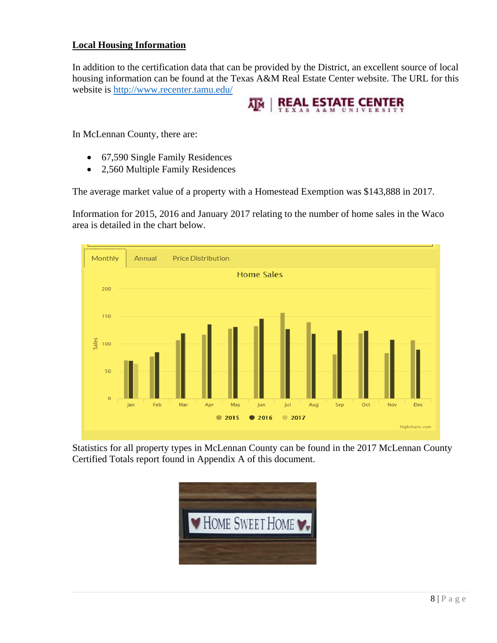#### **Local Housing Information**

In addition to the certification data that can be provided by the District, an excellent source of local housing information can be found at the Texas A&M Real Estate Center website. The URL for this website is<http://www.recenter.tamu.edu/>



In McLennan County, there are:

- 67,590 Single Family Residences
- 2,560 Multiple Family Residences

The average market value of a property with a Homestead Exemption was \$143,888 in 2017.

Information for 2015, 2016 and January 2017 relating to the number of home sales in the Waco area is detailed in the chart below.



Statistics for all property types in McLennan County can be found in the 2017 McLennan County Certified Totals report found in Appendix A of this document.

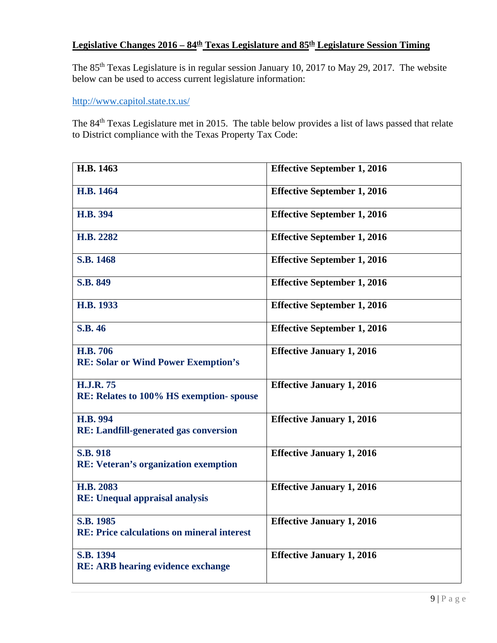## **Legislative Changes 2016 – 84th Texas Legislature and 85th Legislature Session Timing**

The 85th Texas Legislature is in regular session January 10, 2017 to May 29, 2017. The website below can be used to access current legislature information:

<http://www.capitol.state.tx.us/>

The 84th Texas Legislature met in 2015. The table below provides a list of laws passed that relate to District compliance with the Texas Property Tax Code:

| H.B. 1463                                                      | <b>Effective September 1, 2016</b> |
|----------------------------------------------------------------|------------------------------------|
| H.B. 1464                                                      | <b>Effective September 1, 2016</b> |
| H.B. 394                                                       | <b>Effective September 1, 2016</b> |
| H.B. 2282                                                      | <b>Effective September 1, 2016</b> |
| S.B. 1468                                                      | <b>Effective September 1, 2016</b> |
| <b>S.B. 849</b>                                                | <b>Effective September 1, 2016</b> |
| H.B. 1933                                                      | <b>Effective September 1, 2016</b> |
| <b>S.B. 46</b>                                                 | <b>Effective September 1, 2016</b> |
| <b>H.B. 706</b><br><b>RE: Solar or Wind Power Exemption's</b>  | <b>Effective January 1, 2016</b>   |
| <b>H.J.R. 75</b><br>RE: Relates to 100% HS exemption-spouse    | <b>Effective January 1, 2016</b>   |
| H.B. 994<br><b>RE: Landfill-generated gas conversion</b>       | <b>Effective January 1, 2016</b>   |
| <b>S.B. 918</b><br><b>RE: Veteran's organization exemption</b> | <b>Effective January 1, 2016</b>   |
| H.B. 2083<br><b>RE:</b> Unequal appraisal analysis             | <b>Effective January 1, 2016</b>   |
| S.B. 1985<br><b>RE: Price calculations on mineral interest</b> | <b>Effective January 1, 2016</b>   |
| S.B. 1394<br><b>RE: ARB hearing evidence exchange</b>          | <b>Effective January 1, 2016</b>   |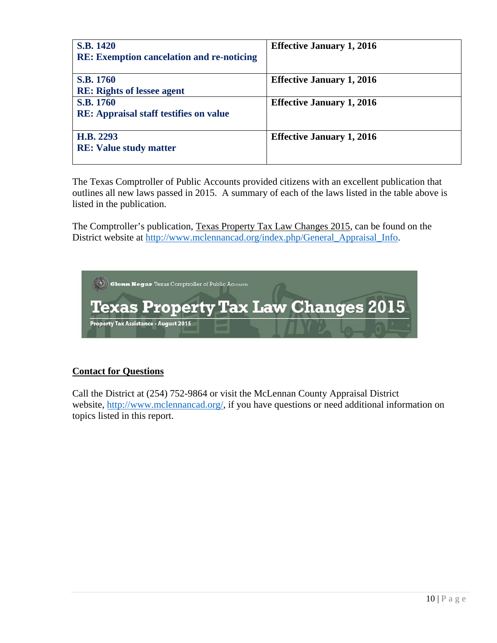| <b>S.B. 1420</b><br><b>RE: Exemption cancelation and re-noticing</b> | <b>Effective January 1, 2016</b> |
|----------------------------------------------------------------------|----------------------------------|
| <b>S.B. 1760</b><br><b>RE:</b> Rights of lessee agent                | <b>Effective January 1, 2016</b> |
| S.B. 1760<br><b>RE:</b> Appraisal staff testifies on value           | <b>Effective January 1, 2016</b> |
| H.B. 2293<br><b>RE:</b> Value study matter                           | <b>Effective January 1, 2016</b> |

The Texas Comptroller of Public Accounts provided citizens with an excellent publication that outlines all new laws passed in 2015. A summary of each of the laws listed in the table above is listed in the publication.

The Comptroller's publication, Texas Property Tax Law Changes 2015, can be found on the District website at [http://www.mclennancad.org/index.php/General\\_Appraisal\\_Info.](http://www.mclennancad.org/index.php/General_Appraisal_Info)



#### **Contact for Questions**

Call the District at (254) 752-9864 or visit the McLennan County Appraisal District website, [http://www.mclennancad.org/,](http://www.mclennancad.org/) if you have questions or need additional information on topics listed in this report.